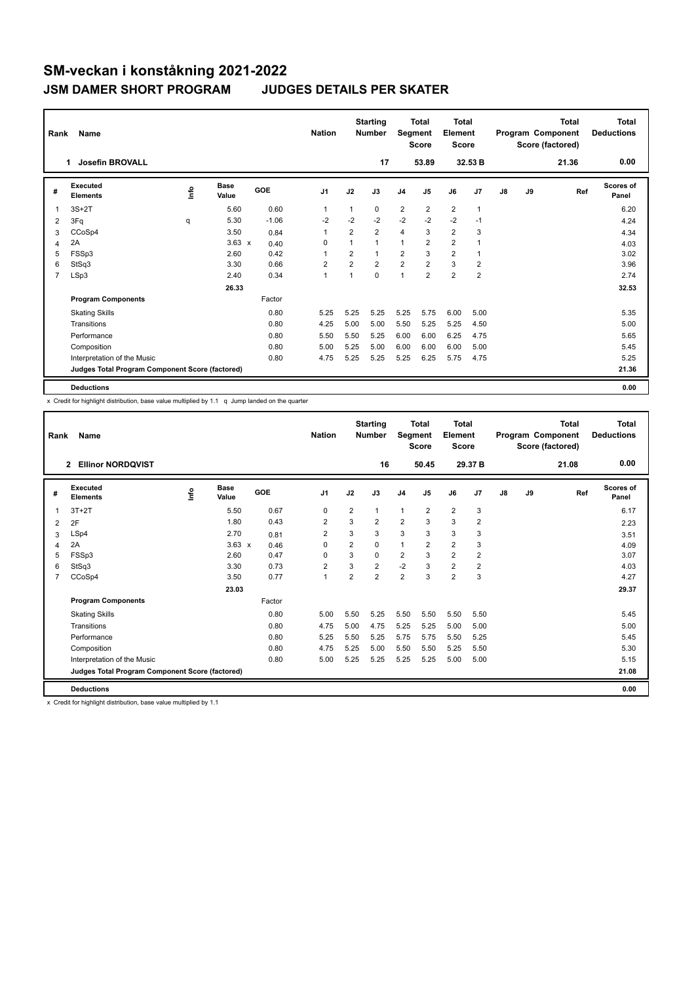| Rank | Name                                            | <b>Nation</b> |               | <b>Starting</b><br>Number | Segment        | <b>Total</b><br><b>Score</b> | <b>Total</b><br>Element<br><b>Score</b> |                |                         |                | <b>Total</b><br>Program Component<br>Score (factored) | Total<br><b>Deductions</b> |    |       |                    |
|------|-------------------------------------------------|---------------|---------------|---------------------------|----------------|------------------------------|-----------------------------------------|----------------|-------------------------|----------------|-------------------------------------------------------|----------------------------|----|-------|--------------------|
|      | <b>Josefin BROVALL</b><br>-1                    |               |               |                           |                |                              | 17                                      |                | 53.89                   |                | 32.53 B                                               |                            |    | 21.36 | 0.00               |
| #    | Executed<br><b>Elements</b>                     | ١rfo          | Base<br>Value | <b>GOE</b>                | J <sub>1</sub> | J2                           | J3                                      | J <sub>4</sub> | J5                      | J6             | J7                                                    | J8                         | J9 | Ref   | Scores of<br>Panel |
| 1    | $3S+2T$                                         |               | 5.60          | 0.60                      | 1              | 1                            | $\mathbf 0$                             | $\overline{2}$ | $\overline{2}$          | $\overline{2}$ | $\overline{1}$                                        |                            |    |       | 6.20               |
| 2    | 3Fq                                             | q             | 5.30          | $-1.06$                   | $-2$           | $-2$                         | $-2$                                    | $-2$           | $-2$                    | $-2$           | $-1$                                                  |                            |    |       | 4.24               |
| 3    | CCoSp4                                          |               | 3.50          | 0.84                      | 1              | $\overline{2}$               | $\overline{2}$                          | 4              | 3                       | $\overline{2}$ | 3                                                     |                            |    |       | 4.34               |
| 4    | 2A                                              |               | $3.63 \times$ | 0.40                      | $\Omega$       | $\mathbf 1$                  | $\overline{ }$                          | $\mathbf{1}$   | $\overline{\mathbf{c}}$ | $\overline{2}$ | 1                                                     |                            |    |       | 4.03               |
| 5    | FSSp3                                           |               | 2.60          | 0.42                      | 1              | $\overline{2}$               | 1                                       | $\overline{2}$ | 3                       | $\overline{2}$ | -1                                                    |                            |    |       | 3.02               |
| 6    | StSq3                                           |               | 3.30          | 0.66                      | $\overline{2}$ | $\overline{2}$               | $\overline{2}$                          | $\overline{2}$ | $\overline{2}$          | 3              | $\overline{2}$                                        |                            |    |       | 3.96               |
| 7    | LSp3                                            |               | 2.40          | 0.34                      | $\overline{1}$ | 1                            | $\mathbf 0$                             | 1              | $\overline{2}$          | $\overline{2}$ | $\overline{2}$                                        |                            |    |       | 2.74               |
|      |                                                 |               | 26.33         |                           |                |                              |                                         |                |                         |                |                                                       |                            |    |       | 32.53              |
|      | <b>Program Components</b>                       |               |               | Factor                    |                |                              |                                         |                |                         |                |                                                       |                            |    |       |                    |
|      | <b>Skating Skills</b>                           |               |               | 0.80                      | 5.25           | 5.25                         | 5.25                                    | 5.25           | 5.75                    | 6.00           | 5.00                                                  |                            |    |       | 5.35               |
|      | Transitions                                     |               |               | 0.80                      | 4.25           | 5.00                         | 5.00                                    | 5.50           | 5.25                    | 5.25           | 4.50                                                  |                            |    |       | 5.00               |
|      | Performance                                     |               |               | 0.80                      | 5.50           | 5.50                         | 5.25                                    | 6.00           | 6.00                    | 6.25           | 4.75                                                  |                            |    |       | 5.65               |
|      | Composition                                     |               |               | 0.80                      | 5.00           | 5.25                         | 5.00                                    | 6.00           | 6.00                    | 6.00           | 5.00                                                  |                            |    |       | 5.45               |
|      | Interpretation of the Music                     |               |               | 0.80                      | 4.75           | 5.25                         | 5.25                                    | 5.25           | 6.25                    | 5.75           | 4.75                                                  |                            |    |       | 5.25               |
|      | Judges Total Program Component Score (factored) |               |               |                           |                |                              |                                         |                |                         |                |                                                       |                            |    |       | 21.36              |
|      | <b>Deductions</b>                               |               |               |                           |                |                              |                                         |                |                         |                |                                                       |                            |    |       | 0.00               |

x Credit for highlight distribution, base value multiplied by 1.1 q Jump landed on the quarter

| Rank | Name                                            |      |                      |            | <b>Nation</b>  |                | <b>Starting</b><br><b>Number</b> | Segment        | <b>Total</b><br><b>Score</b> | <b>Total</b><br>Element<br><b>Score</b> |                |               |    | <b>Total</b><br>Program Component<br>Score (factored) | <b>Total</b><br><b>Deductions</b> |
|------|-------------------------------------------------|------|----------------------|------------|----------------|----------------|----------------------------------|----------------|------------------------------|-----------------------------------------|----------------|---------------|----|-------------------------------------------------------|-----------------------------------|
|      | <b>Ellinor NORDQVIST</b><br>$\overline{2}$      |      |                      |            |                |                | 16                               |                | 50.45                        |                                         | 29.37 B        |               |    | 21.08                                                 | 0.00                              |
| #    | Executed<br><b>Elements</b>                     | lnfo | <b>Base</b><br>Value | <b>GOE</b> | J <sub>1</sub> | J2             | J3                               | J <sub>4</sub> | J5                           | J6                                      | J <sub>7</sub> | $\mathsf{J}8$ | J9 | Ref                                                   | Scores of<br>Panel                |
| 1    | $3T+2T$                                         |      | 5.50                 | 0.67       | 0              | $\overline{2}$ | 1                                | $\mathbf{1}$   | $\overline{2}$               | $\overline{2}$                          | 3              |               |    |                                                       | 6.17                              |
| 2    | 2F                                              |      | 1.80                 | 0.43       | $\overline{2}$ | 3              | $\overline{2}$                   | $\overline{2}$ | 3                            | 3                                       | $\overline{2}$ |               |    |                                                       | 2.23                              |
| 3    | LSp4                                            |      | 2.70                 | 0.81       | 2              | 3              | 3                                | 3              | 3                            | 3                                       | 3              |               |    |                                                       | 3.51                              |
| 4    | 2A                                              |      | $3.63 \times$        | 0.46       | $\Omega$       | $\overline{2}$ | 0                                | $\mathbf{1}$   | $\overline{2}$               | $\overline{2}$                          | 3              |               |    |                                                       | 4.09                              |
| 5    | FSSp3                                           |      | 2.60                 | 0.47       | 0              | 3              | 0                                | $\overline{2}$ | 3                            | $\overline{2}$                          | $\overline{2}$ |               |    |                                                       | 3.07                              |
| 6    | StSq3                                           |      | 3.30                 | 0.73       | $\overline{2}$ | 3              | $\overline{2}$                   | $-2$           | 3                            | $\overline{2}$                          | $\overline{2}$ |               |    |                                                       | 4.03                              |
| 7    | CCoSp4                                          |      | 3.50                 | 0.77       | $\mathbf{1}$   | $\overline{2}$ | $\overline{2}$                   | $\overline{2}$ | 3                            | $\overline{2}$                          | 3              |               |    |                                                       | 4.27                              |
|      |                                                 |      | 23.03                |            |                |                |                                  |                |                              |                                         |                |               |    |                                                       | 29.37                             |
|      | <b>Program Components</b>                       |      |                      | Factor     |                |                |                                  |                |                              |                                         |                |               |    |                                                       |                                   |
|      | <b>Skating Skills</b>                           |      |                      | 0.80       | 5.00           | 5.50           | 5.25                             | 5.50           | 5.50                         | 5.50                                    | 5.50           |               |    |                                                       | 5.45                              |
|      | Transitions                                     |      |                      | 0.80       | 4.75           | 5.00           | 4.75                             | 5.25           | 5.25                         | 5.00                                    | 5.00           |               |    |                                                       | 5.00                              |
|      | Performance                                     |      |                      | 0.80       | 5.25           | 5.50           | 5.25                             | 5.75           | 5.75                         | 5.50                                    | 5.25           |               |    |                                                       | 5.45                              |
|      | Composition                                     |      |                      | 0.80       | 4.75           | 5.25           | 5.00                             | 5.50           | 5.50                         | 5.25                                    | 5.50           |               |    |                                                       | 5.30                              |
|      | Interpretation of the Music                     |      |                      | 0.80       | 5.00           | 5.25           | 5.25                             | 5.25           | 5.25                         | 5.00                                    | 5.00           |               |    |                                                       | 5.15                              |
|      | Judges Total Program Component Score (factored) |      |                      |            |                |                |                                  |                |                              |                                         |                |               |    |                                                       | 21.08                             |
|      | <b>Deductions</b>                               |      |                      |            |                |                |                                  |                |                              |                                         |                |               |    |                                                       | 0.00                              |

x Credit for highlight distribution, base value multiplied by 1.1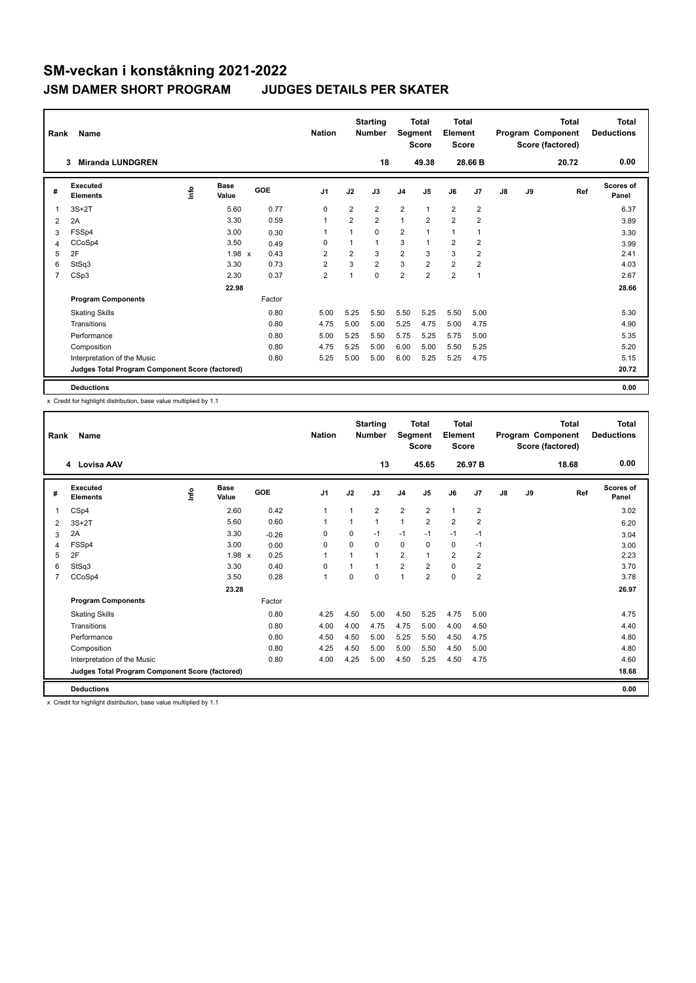| Rank           | Name                                            |      |                      |            | <b>Nation</b>  |                | <b>Starting</b><br><b>Number</b> | Segment        | <b>Total</b><br><b>Score</b> | Total<br>Element<br><b>Score</b> |                |    |    | <b>Total</b><br>Program Component<br>Score (factored) | <b>Total</b><br><b>Deductions</b> |
|----------------|-------------------------------------------------|------|----------------------|------------|----------------|----------------|----------------------------------|----------------|------------------------------|----------------------------------|----------------|----|----|-------------------------------------------------------|-----------------------------------|
|                | <b>Miranda LUNDGREN</b><br>3                    |      |                      |            |                |                | 18                               |                | 49.38                        |                                  | 28.66 B        |    |    | 20.72                                                 | 0.00                              |
| #              | Executed<br><b>Elements</b>                     | ١nfo | <b>Base</b><br>Value | <b>GOE</b> | J <sub>1</sub> | J2             | J3                               | J <sub>4</sub> | J <sub>5</sub>               | J6                               | J <sub>7</sub> | J8 | J9 | Ref                                                   | <b>Scores of</b><br>Panel         |
| 1              | $3S+2T$                                         |      | 5.60                 | 0.77       | $\Omega$       | $\overline{2}$ | $\overline{2}$                   | $\overline{2}$ | $\mathbf{1}$                 | $\overline{2}$                   | $\overline{2}$ |    |    |                                                       | 6.37                              |
| 2              | 2A                                              |      | 3.30                 | 0.59       | $\overline{1}$ | $\overline{2}$ | $\overline{2}$                   | 1              | $\overline{2}$               | $\overline{2}$                   | $\overline{2}$ |    |    |                                                       | 3.89                              |
| 3              | FSSp4                                           |      | 3.00                 | 0.30       | 1              | 1              | $\Omega$                         | $\overline{2}$ |                              | 1                                | 1              |    |    |                                                       | 3.30                              |
| 4              | CCoSp4                                          |      | 3.50                 | 0.49       | $\Omega$       | $\mathbf 1$    | 1                                | 3              | $\overline{1}$               | $\overline{2}$                   | $\overline{2}$ |    |    |                                                       | 3.99                              |
| 5              | 2F                                              |      | 1.98 x               | 0.43       | $\overline{2}$ | $\overline{2}$ | 3                                | $\overline{2}$ | 3                            | 3                                | $\overline{2}$ |    |    |                                                       | 2.41                              |
| 6              | StSq3                                           |      | 3.30                 | 0.73       | $\overline{2}$ | 3              | $\overline{2}$                   | 3              | $\overline{2}$               | $\overline{2}$                   | $\overline{2}$ |    |    |                                                       | 4.03                              |
| $\overline{7}$ | CSp3                                            |      | 2.30                 | 0.37       | $\overline{2}$ | 1              | $\mathbf 0$                      | $\overline{2}$ | $\overline{2}$               | $\overline{2}$                   | $\mathbf{1}$   |    |    |                                                       | 2.67                              |
|                |                                                 |      | 22.98                |            |                |                |                                  |                |                              |                                  |                |    |    |                                                       | 28.66                             |
|                | <b>Program Components</b>                       |      |                      | Factor     |                |                |                                  |                |                              |                                  |                |    |    |                                                       |                                   |
|                | <b>Skating Skills</b>                           |      |                      | 0.80       | 5.00           | 5.25           | 5.50                             | 5.50           | 5.25                         | 5.50                             | 5.00           |    |    |                                                       | 5.30                              |
|                | Transitions                                     |      |                      | 0.80       | 4.75           | 5.00           | 5.00                             | 5.25           | 4.75                         | 5.00                             | 4.75           |    |    |                                                       | 4.90                              |
|                | Performance                                     |      |                      | 0.80       | 5.00           | 5.25           | 5.50                             | 5.75           | 5.25                         | 5.75                             | 5.00           |    |    |                                                       | 5.35                              |
|                | Composition                                     |      |                      | 0.80       | 4.75           | 5.25           | 5.00                             | 6.00           | 5.00                         | 5.50                             | 5.25           |    |    |                                                       | 5.20                              |
|                | Interpretation of the Music                     |      |                      | 0.80       | 5.25           | 5.00           | 5.00                             | 6.00           | 5.25                         | 5.25                             | 4.75           |    |    |                                                       | 5.15                              |
|                | Judges Total Program Component Score (factored) |      |                      |            |                |                |                                  |                |                              |                                  |                |    |    |                                                       | 20.72                             |
|                | <b>Deductions</b>                               |      |                      |            |                |                |                                  |                |                              |                                  |                |    |    |                                                       | 0.00                              |

x Credit for highlight distribution, base value multiplied by 1.1

| Rank | Name                                            |      | <b>Nation</b> |         | <b>Starting</b><br><b>Number</b> | Segment  | <b>Total</b><br><b>Score</b> | <b>Total</b><br>Element<br><b>Score</b> |                |                |                | <b>Total</b><br>Program Component<br>Score (factored) | <b>Total</b><br><b>Deductions</b> |       |                    |
|------|-------------------------------------------------|------|---------------|---------|----------------------------------|----------|------------------------------|-----------------------------------------|----------------|----------------|----------------|-------------------------------------------------------|-----------------------------------|-------|--------------------|
|      | 4 Lovisa AAV                                    |      |               |         |                                  |          | 13                           |                                         | 45.65          |                | 26.97 B        |                                                       |                                   | 18.68 | 0.00               |
| #    | Executed<br><b>Elements</b>                     | ١nf٥ | Base<br>Value | GOE     | J <sub>1</sub>                   | J2       | J3                           | J <sub>4</sub>                          | J5             | J6             | J7             | $\mathsf{J}8$                                         | J9                                | Ref   | Scores of<br>Panel |
| 1    | CSp4                                            |      | 2.60          | 0.42    | $\mathbf{1}$                     | 1        | $\overline{2}$               | $\overline{2}$                          | $\overline{2}$ | $\mathbf{1}$   | $\overline{2}$ |                                                       |                                   |       | 3.02               |
| 2    | $3S+2T$                                         |      | 5.60          | 0.60    | $\mathbf{1}$                     |          | 1                            | $\overline{1}$                          | $\overline{2}$ | $\overline{2}$ | $\overline{2}$ |                                                       |                                   |       | 6.20               |
| 3    | 2A                                              |      | 3.30          | $-0.26$ | 0                                | $\Omega$ | $-1$                         | $-1$                                    | $-1$           | $-1$           | $-1$           |                                                       |                                   |       | 3.04               |
| 4    | FSSp4                                           |      | 3.00          | 0.00    | 0                                | $\Omega$ | $\Omega$                     | $\mathbf 0$                             | $\Omega$       | $\mathbf 0$    | $-1$           |                                                       |                                   |       | 3.00               |
| 5    | 2F                                              |      | 1.98 x        | 0.25    | $\mathbf{1}$                     |          | 1                            | $\overline{2}$                          | 1              | $\overline{2}$ | $\overline{2}$ |                                                       |                                   |       | 2.23               |
| 6    | StSq3                                           |      | 3.30          | 0.40    | $\Omega$                         |          | 1                            | $\overline{2}$                          | $\overline{2}$ | $\Omega$       | $\overline{2}$ |                                                       |                                   |       | 3.70               |
| 7    | CCoSp4                                          |      | 3.50          | 0.28    | $\mathbf{1}$                     | 0        | 0                            | $\overline{1}$                          | $\overline{2}$ | $\mathbf 0$    | $\overline{2}$ |                                                       |                                   |       | 3.78               |
|      |                                                 |      | 23.28         |         |                                  |          |                              |                                         |                |                |                |                                                       |                                   |       | 26.97              |
|      | <b>Program Components</b>                       |      |               | Factor  |                                  |          |                              |                                         |                |                |                |                                                       |                                   |       |                    |
|      | <b>Skating Skills</b>                           |      |               | 0.80    | 4.25                             | 4.50     | 5.00                         | 4.50                                    | 5.25           | 4.75           | 5.00           |                                                       |                                   |       | 4.75               |
|      | Transitions                                     |      |               | 0.80    | 4.00                             | 4.00     | 4.75                         | 4.75                                    | 5.00           | 4.00           | 4.50           |                                                       |                                   |       | 4.40               |
|      | Performance                                     |      |               | 0.80    | 4.50                             | 4.50     | 5.00                         | 5.25                                    | 5.50           | 4.50           | 4.75           |                                                       |                                   |       | 4.80               |
|      | Composition                                     |      |               | 0.80    | 4.25                             | 4.50     | 5.00                         | 5.00                                    | 5.50           | 4.50           | 5.00           |                                                       |                                   |       | 4.80               |
|      | Interpretation of the Music                     |      |               | 0.80    | 4.00                             | 4.25     | 5.00                         | 4.50                                    | 5.25           | 4.50           | 4.75           |                                                       |                                   |       | 4.60               |
|      | Judges Total Program Component Score (factored) |      |               |         |                                  |          |                              |                                         |                |                |                |                                                       |                                   |       | 18.68              |
|      | <b>Deductions</b>                               |      |               |         |                                  |          |                              |                                         |                |                |                |                                                       |                                   |       | 0.00               |

x Credit for highlight distribution, base value multiplied by 1.1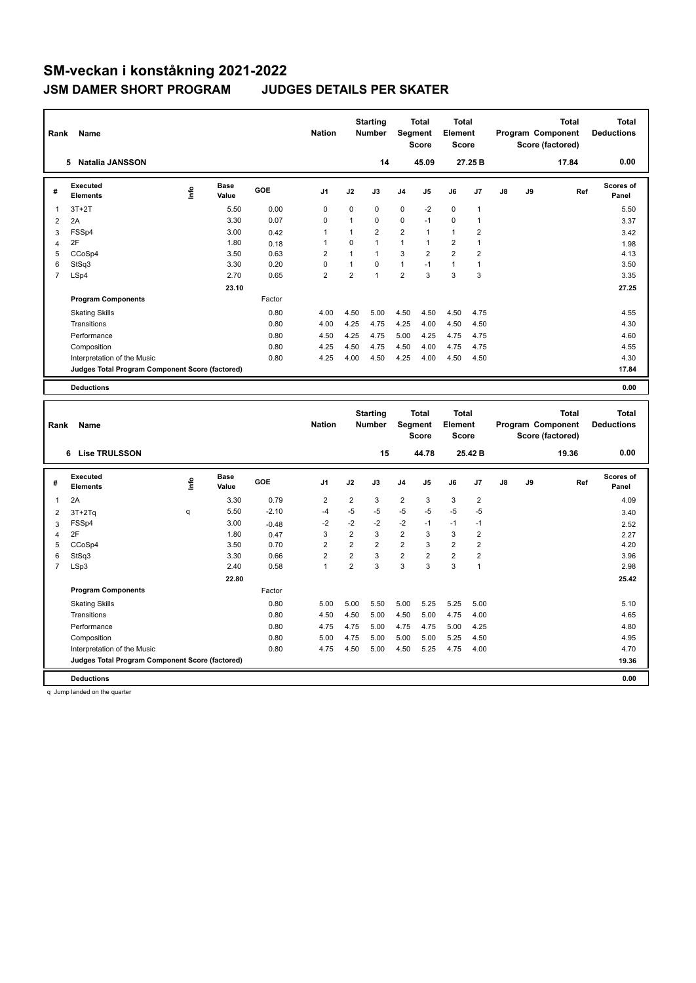| Rank           | Name                                            | <b>Nation</b> |                      | <b>Starting</b><br><b>Number</b> | Segment        | <b>Total</b><br><b>Score</b> | <b>Total</b><br>Element<br><b>Score</b> |                |                |                | <b>Total</b><br>Program Component<br>Score (factored) | <b>Total</b><br><b>Deductions</b> |    |       |                    |
|----------------|-------------------------------------------------|---------------|----------------------|----------------------------------|----------------|------------------------------|-----------------------------------------|----------------|----------------|----------------|-------------------------------------------------------|-----------------------------------|----|-------|--------------------|
|                | <b>Natalia JANSSON</b><br>5                     |               |                      |                                  |                |                              | 14                                      |                | 45.09          |                | 27.25 B                                               |                                   |    | 17.84 | 0.00               |
| #              | Executed<br><b>Elements</b>                     | Info          | <b>Base</b><br>Value | GOE                              | J <sub>1</sub> | J2                           | J3                                      | J <sub>4</sub> | J5             | J6             | J7                                                    | J8                                | J9 | Ref   | Scores of<br>Panel |
| 1              | $3T+2T$                                         |               | 5.50                 | 0.00                             | 0              | $\Omega$                     | $\mathbf 0$                             | $\mathbf 0$    | $-2$           | $\mathbf 0$    | $\mathbf{1}$                                          |                                   |    |       | 5.50               |
| 2              | 2A                                              |               | 3.30                 | 0.07                             | $\Omega$       | $\mathbf 1$                  | $\Omega$                                | 0              | $-1$           | $\mathbf 0$    | 1                                                     |                                   |    |       | 3.37               |
| 3              | FSSp4                                           |               | 3.00                 | 0.42                             | 1              | $\mathbf 1$                  | $\overline{2}$                          | $\overline{2}$ | $\mathbf{1}$   | $\mathbf{1}$   | $\overline{2}$                                        |                                   |    |       | 3.42               |
| 4              | 2F                                              |               | 1.80                 | 0.18                             | 1              | $\mathbf 0$                  | $\mathbf{1}$                            | $\mathbf{1}$   | $\mathbf{1}$   | $\overline{2}$ | $\mathbf{1}$                                          |                                   |    |       | 1.98               |
| 5              | CCoSp4                                          |               | 3.50                 | 0.63                             | 2              | 1                            | 1                                       | 3              | $\overline{2}$ | $\overline{2}$ | $\overline{2}$                                        |                                   |    |       | 4.13               |
| 6              | StSq3                                           |               | 3.30                 | 0.20                             | $\Omega$       | $\mathbf 1$                  | $\Omega$                                | 1              | $-1$           | $\mathbf{1}$   | $\mathbf{1}$                                          |                                   |    |       | 3.50               |
| $\overline{7}$ | LSp4                                            |               | 2.70                 | 0.65                             | $\overline{2}$ | $\overline{2}$               | $\mathbf{1}$                            | $\overline{2}$ | 3              | 3              | 3                                                     |                                   |    |       | 3.35               |
|                |                                                 |               | 23.10                |                                  |                |                              |                                         |                |                |                |                                                       |                                   |    |       | 27.25              |
|                | <b>Program Components</b>                       |               |                      | Factor                           |                |                              |                                         |                |                |                |                                                       |                                   |    |       |                    |
|                | <b>Skating Skills</b>                           |               |                      | 0.80                             | 4.00           | 4.50                         | 5.00                                    | 4.50           | 4.50           | 4.50           | 4.75                                                  |                                   |    |       | 4.55               |
|                | Transitions                                     |               |                      | 0.80                             | 4.00           | 4.25                         | 4.75                                    | 4.25           | 4.00           | 4.50           | 4.50                                                  |                                   |    |       | 4.30               |
|                | Performance                                     |               |                      | 0.80                             | 4.50           | 4.25                         | 4.75                                    | 5.00           | 4.25           | 4.75           | 4.75                                                  |                                   |    |       | 4.60               |
|                | Composition                                     |               |                      | 0.80                             | 4.25           | 4.50                         | 4.75                                    | 4.50           | 4.00           | 4.75           | 4.75                                                  |                                   |    |       | 4.55               |
|                | Interpretation of the Music                     |               |                      | 0.80                             | 4.25           | 4.00                         | 4.50                                    | 4.25           | 4.00           | 4.50           | 4.50                                                  |                                   |    |       | 4.30               |
|                | Judges Total Program Component Score (factored) |               |                      |                                  |                |                              |                                         |                |                |                |                                                       |                                   |    |       | 17.84              |
|                | <b>Deductions</b>                               |               |                      |                                  |                |                              |                                         |                |                |                |                                                       |                                   |    |       | 0.00               |
|                |                                                 |               |                      |                                  |                |                              |                                         |                |                |                |                                                       |                                   |    |       |                    |
|                |                                                 |               |                      |                                  |                |                              | Starting                                |                | Total          | Total          |                                                       |                                   |    | Total | Total              |

| Rank           | Name                                            |    |                      |         | <b>Nation</b>  |                | <b>Starting</b><br><b>Number</b> |                | Total<br>Segment<br>Score | <b>Total</b><br>Element<br><b>Score</b> |                |               |    | <b>Total</b><br>Program Component<br>Score (factored) | <b>Total</b><br><b>Deductions</b> |
|----------------|-------------------------------------------------|----|----------------------|---------|----------------|----------------|----------------------------------|----------------|---------------------------|-----------------------------------------|----------------|---------------|----|-------------------------------------------------------|-----------------------------------|
|                | 6 Lise TRULSSON                                 |    |                      |         |                |                | 15                               |                | 44.78                     |                                         | 25.42 B        |               |    | 19.36                                                 | 0.00                              |
| #              | Executed<br><b>Elements</b>                     | ۴ů | <b>Base</b><br>Value | GOE     | J <sub>1</sub> | J2             | J3                               | J <sub>4</sub> | J <sub>5</sub>            | J6                                      | J7             | $\mathsf{J}8$ | J9 | Ref                                                   | <b>Scores of</b><br>Panel         |
| 1              | 2A                                              |    | 3.30                 | 0.79    | $\overline{2}$ | $\overline{2}$ | 3                                | $\overline{2}$ | 3                         | 3                                       | $\overline{2}$ |               |    |                                                       | 4.09                              |
| 2              | $3T+2Tq$                                        | q  | 5.50                 | $-2.10$ | $-4$           | $-5$           | $-5$                             | $-5$           | $-5$                      | $-5$                                    | $-5$           |               |    |                                                       | 3.40                              |
| 3              | FSSp4                                           |    | 3.00                 | $-0.48$ | $-2$           | $-2$           | $-2$                             | $-2$           | $-1$                      | $-1$                                    | $-1$           |               |    |                                                       | 2.52                              |
| 4              | 2F                                              |    | 1.80                 | 0.47    | 3              | $\overline{2}$ | 3                                | $\overline{2}$ | 3                         | 3                                       | $\overline{2}$ |               |    |                                                       | 2.27                              |
| 5              | CCoSp4                                          |    | 3.50                 | 0.70    | $\overline{2}$ | $\overline{2}$ | $\overline{2}$                   | $\overline{2}$ | 3                         | $\overline{2}$                          | 2              |               |    |                                                       | 4.20                              |
| 6              | StSq3                                           |    | 3.30                 | 0.66    | $\overline{2}$ | $\overline{2}$ | 3                                | $\overline{2}$ | $\overline{2}$            | $\overline{2}$                          | $\overline{2}$ |               |    |                                                       | 3.96                              |
| $\overline{7}$ | LSp3                                            |    | 2.40                 | 0.58    | $\overline{1}$ | $\overline{2}$ | 3                                | 3              | 3                         | 3                                       | 1              |               |    |                                                       | 2.98                              |
|                |                                                 |    | 22.80                |         |                |                |                                  |                |                           |                                         |                |               |    |                                                       | 25.42                             |
|                | <b>Program Components</b>                       |    |                      | Factor  |                |                |                                  |                |                           |                                         |                |               |    |                                                       |                                   |
|                | <b>Skating Skills</b>                           |    |                      | 0.80    | 5.00           | 5.00           | 5.50                             | 5.00           | 5.25                      | 5.25                                    | 5.00           |               |    |                                                       | 5.10                              |
|                | Transitions                                     |    |                      | 0.80    | 4.50           | 4.50           | 5.00                             | 4.50           | 5.00                      | 4.75                                    | 4.00           |               |    |                                                       | 4.65                              |
|                | Performance                                     |    |                      | 0.80    | 4.75           | 4.75           | 5.00                             | 4.75           | 4.75                      | 5.00                                    | 4.25           |               |    |                                                       | 4.80                              |
|                | Composition                                     |    |                      | 0.80    | 5.00           | 4.75           | 5.00                             | 5.00           | 5.00                      | 5.25                                    | 4.50           |               |    |                                                       | 4.95                              |
|                | Interpretation of the Music                     |    |                      | 0.80    | 4.75           | 4.50           | 5.00                             | 4.50           | 5.25                      | 4.75                                    | 4.00           |               |    |                                                       | 4.70                              |
|                | Judges Total Program Component Score (factored) |    |                      |         |                |                |                                  |                |                           |                                         |                |               |    |                                                       | 19.36                             |
|                | <b>Deductions</b>                               |    |                      |         |                |                |                                  |                |                           |                                         |                |               |    |                                                       | 0.00                              |

q Jump landed on the quarter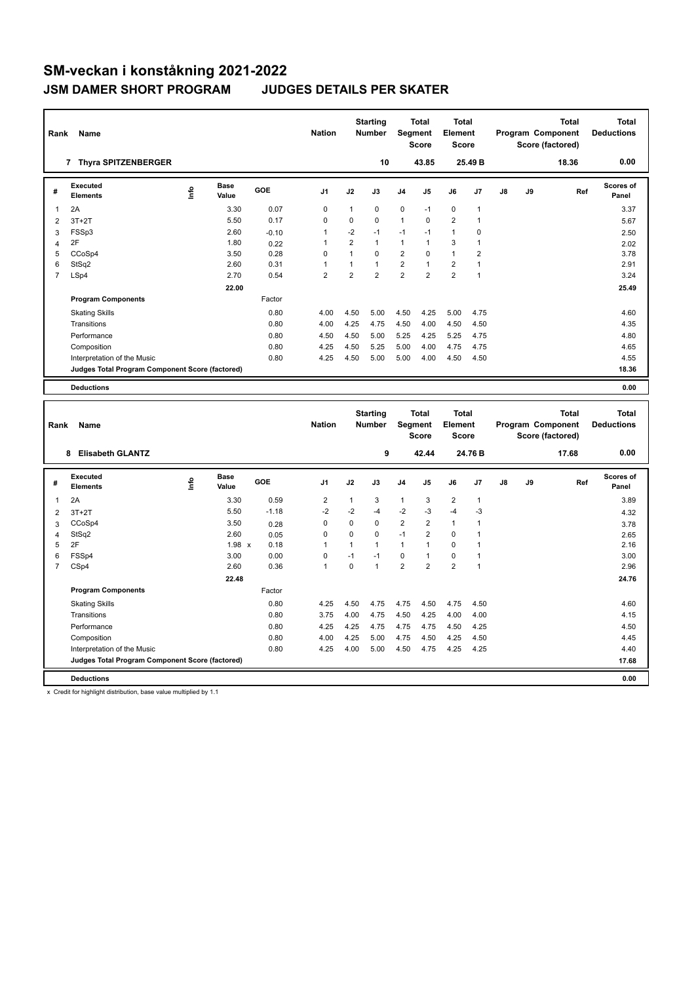| Rank           | Name                                            | <b>Nation</b> |                      | <b>Starting</b><br><b>Number</b> |                | <b>Total</b><br>Segment<br><b>Score</b> | Total<br>Element<br><b>Score</b> |                         |                |                | <b>Total</b><br>Program Component<br>Score (factored) | <b>Total</b><br><b>Deductions</b> |    |       |                    |
|----------------|-------------------------------------------------|---------------|----------------------|----------------------------------|----------------|-----------------------------------------|----------------------------------|-------------------------|----------------|----------------|-------------------------------------------------------|-----------------------------------|----|-------|--------------------|
|                | 7 Thyra SPITZENBERGER                           |               |                      |                                  |                |                                         | 10                               |                         | 43.85          |                | 25.49 B                                               |                                   |    | 18.36 | 0.00               |
| #              | Executed<br><b>Elements</b>                     | Info          | <b>Base</b><br>Value | GOE                              | J <sub>1</sub> | J2                                      | J3                               | J <sub>4</sub>          | J <sub>5</sub> | J6             | J <sub>7</sub>                                        | J8                                | J9 | Ref   | Scores of<br>Panel |
| $\overline{1}$ | 2A                                              |               | 3.30                 | 0.07                             | 0              | 1                                       | 0                                | $\mathbf 0$             | $-1$           | $\mathbf 0$    | $\mathbf{1}$                                          |                                   |    |       | 3.37               |
| $\overline{2}$ | $3T+2T$                                         |               | 5.50                 | 0.17                             | 0              | 0                                       | $\mathbf 0$                      | $\mathbf{1}$            | $\mathbf 0$    | $\overline{2}$ | 1                                                     |                                   |    |       | 5.67               |
| 3              | FSSp3                                           |               | 2.60                 | $-0.10$                          | $\mathbf{1}$   | $-2$                                    | $-1$                             | $-1$                    | $-1$           | $\mathbf{1}$   | 0                                                     |                                   |    |       | 2.50               |
| 4              | 2F                                              |               | 1.80                 | 0.22                             | $\overline{1}$ | $\overline{2}$                          | $\mathbf{1}$                     | $\mathbf{1}$            | $\mathbf{1}$   | 3              | 1                                                     |                                   |    |       | 2.02               |
| 5              | CCoSp4                                          |               | 3.50                 | 0.28                             | 0              | $\mathbf{1}$                            | $\Omega$                         | $\overline{2}$          | $\mathbf 0$    | $\mathbf{1}$   | $\overline{2}$                                        |                                   |    |       | 3.78               |
| 6              | StSq2                                           |               | 2.60                 | 0.31                             | 1              | $\mathbf{1}$                            | $\mathbf{1}$                     | $\overline{\mathbf{c}}$ | $\mathbf{1}$   | $\overline{2}$ | $\mathbf{1}$                                          |                                   |    |       | 2.91               |
| $\overline{7}$ | LSp4                                            |               | 2.70                 | 0.54                             | $\overline{2}$ | $\overline{2}$                          | $\overline{2}$                   | $\overline{2}$          | $\overline{2}$ | $\overline{2}$ | $\mathbf{1}$                                          |                                   |    |       | 3.24               |
|                |                                                 |               | 22.00                |                                  |                |                                         |                                  |                         |                |                |                                                       |                                   |    |       | 25.49              |
|                | <b>Program Components</b>                       |               |                      | Factor                           |                |                                         |                                  |                         |                |                |                                                       |                                   |    |       |                    |
|                | <b>Skating Skills</b>                           |               |                      | 0.80                             | 4.00           | 4.50                                    | 5.00                             | 4.50                    | 4.25           | 5.00           | 4.75                                                  |                                   |    |       | 4.60               |
|                | Transitions                                     |               |                      | 0.80                             | 4.00           | 4.25                                    | 4.75                             | 4.50                    | 4.00           | 4.50           | 4.50                                                  |                                   |    |       | 4.35               |
|                | Performance                                     |               |                      | 0.80                             | 4.50           | 4.50                                    | 5.00                             | 5.25                    | 4.25           | 5.25           | 4.75                                                  |                                   |    |       | 4.80               |
|                | Composition                                     |               |                      | 0.80                             | 4.25           | 4.50                                    | 5.25                             | 5.00                    | 4.00           | 4.75           | 4.75                                                  |                                   |    |       | 4.65               |
|                | Interpretation of the Music                     |               |                      | 0.80                             | 4.25           | 4.50                                    | 5.00                             | 5.00                    | 4.00           | 4.50           | 4.50                                                  |                                   |    |       | 4.55               |
|                | Judges Total Program Component Score (factored) |               |                      |                                  |                |                                         |                                  |                         |                |                |                                                       |                                   |    |       | 18.36              |
|                | <b>Deductions</b>                               |               |                      |                                  |                |                                         |                                  |                         |                |                |                                                       |                                   |    |       | 0.00               |
|                |                                                 |               |                      |                                  |                |                                         |                                  |                         |                |                |                                                       |                                   |    |       |                    |

| Rank           | Name                                            |      |                      |            | <b>Nation</b>  |          | <b>Starting</b><br><b>Number</b> |                | <b>Total</b><br>Segment<br><b>Score</b> | <b>Total</b><br>Element<br><b>Score</b> |                |    |    | <b>Total</b><br>Program Component<br>Score (factored) | <b>Total</b><br><b>Deductions</b> |
|----------------|-------------------------------------------------|------|----------------------|------------|----------------|----------|----------------------------------|----------------|-----------------------------------------|-----------------------------------------|----------------|----|----|-------------------------------------------------------|-----------------------------------|
|                | <b>Elisabeth GLANTZ</b><br>8                    |      |                      |            |                |          | 9                                |                | 42.44                                   |                                         | 24.76 B        |    |    | 17.68                                                 | 0.00                              |
| #              | <b>Executed</b><br><b>Elements</b>              | lnfo | <b>Base</b><br>Value | <b>GOE</b> | J <sub>1</sub> | J2       | J3                               | J <sub>4</sub> | J <sub>5</sub>                          | J6                                      | J7             | J8 | J9 | Ref                                                   | <b>Scores of</b><br>Panel         |
| 1              | 2A                                              |      | 3.30                 | 0.59       | $\overline{2}$ | 1        | 3                                | 1              | 3                                       | $\overline{2}$                          | 1              |    |    |                                                       | 3.89                              |
| 2              | $3T+2T$                                         |      | 5.50                 | $-1.18$    | $-2$           | $-2$     | -4                               | $-2$           | $-3$                                    | $-4$                                    | $-3$           |    |    |                                                       | 4.32                              |
| 3              | CCoSp4                                          |      | 3.50                 | 0.28       | 0              | 0        | 0                                | $\overline{2}$ | $\overline{2}$                          | $\mathbf{1}$                            |                |    |    |                                                       | 3.78                              |
| 4              | StSq2                                           |      | 2.60                 | 0.05       | 0              | $\Omega$ | $\Omega$                         | $-1$           | $\overline{2}$                          | $\mathbf 0$                             |                |    |    |                                                       | 2.65                              |
| 5              | 2F                                              |      | $1.98 \times$        | 0.18       |                | 1        | 1                                | 1              | 1                                       | $\Omega$                                |                |    |    |                                                       | 2.16                              |
| 6              | FSSp4                                           |      | 3.00                 | 0.00       | 0              | $-1$     | $-1$                             | $\mathbf 0$    | $\mathbf 1$                             | $\mathbf 0$                             |                |    |    |                                                       | 3.00                              |
| $\overline{7}$ | CSp4                                            |      | 2.60                 | 0.36       | 1              | 0        | 1                                | $\overline{2}$ | $\overline{2}$                          | $\overline{2}$                          | $\overline{1}$ |    |    |                                                       | 2.96                              |
|                |                                                 |      | 22.48                |            |                |          |                                  |                |                                         |                                         |                |    |    |                                                       | 24.76                             |
|                | <b>Program Components</b>                       |      |                      | Factor     |                |          |                                  |                |                                         |                                         |                |    |    |                                                       |                                   |
|                | <b>Skating Skills</b>                           |      |                      | 0.80       | 4.25           | 4.50     | 4.75                             | 4.75           | 4.50                                    | 4.75                                    | 4.50           |    |    |                                                       | 4.60                              |
|                | Transitions                                     |      |                      | 0.80       | 3.75           | 4.00     | 4.75                             | 4.50           | 4.25                                    | 4.00                                    | 4.00           |    |    |                                                       | 4.15                              |
|                | Performance                                     |      |                      | 0.80       | 4.25           | 4.25     | 4.75                             | 4.75           | 4.75                                    | 4.50                                    | 4.25           |    |    |                                                       | 4.50                              |
|                | Composition                                     |      |                      | 0.80       | 4.00           | 4.25     | 5.00                             | 4.75           | 4.50                                    | 4.25                                    | 4.50           |    |    |                                                       | 4.45                              |
|                | Interpretation of the Music                     |      |                      | 0.80       | 4.25           | 4.00     | 5.00                             | 4.50           | 4.75                                    | 4.25                                    | 4.25           |    |    |                                                       | 4.40                              |
|                | Judges Total Program Component Score (factored) |      |                      |            |                |          |                                  |                |                                         |                                         |                |    |    |                                                       | 17.68                             |
|                | <b>Deductions</b>                               |      |                      |            |                |          |                                  |                |                                         |                                         |                |    |    |                                                       | 0.00                              |

x Credit for highlight distribution, base value multiplied by 1.1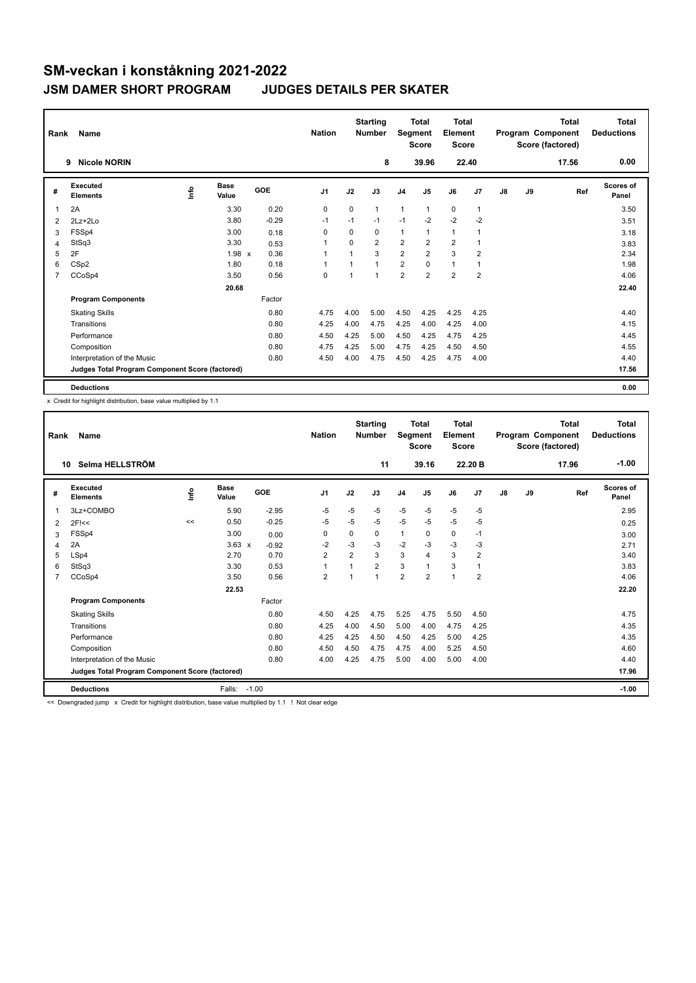| Rank | Name                                            |      |                      |            | <b>Nation</b>  |          | <b>Starting</b><br>Number | Segment        | <b>Total</b><br><b>Score</b> | <b>Total</b><br>Element<br><b>Score</b> |                |    |    | <b>Total</b><br>Program Component<br>Score (factored) | Total<br><b>Deductions</b> |
|------|-------------------------------------------------|------|----------------------|------------|----------------|----------|---------------------------|----------------|------------------------------|-----------------------------------------|----------------|----|----|-------------------------------------------------------|----------------------------|
|      | <b>Nicole NORIN</b><br>9                        |      |                      |            |                |          | 8                         |                | 39.96                        |                                         | 22.40          |    |    | 17.56                                                 | 0.00                       |
| #    | <b>Executed</b><br><b>Elements</b>              | ١nfo | <b>Base</b><br>Value | <b>GOE</b> | J <sub>1</sub> | J2       | J3                        | J <sub>4</sub> | J <sub>5</sub>               | J6                                      | J7             | J8 | J9 | Ref                                                   | Scores of<br>Panel         |
| 1    | 2A                                              |      | 3.30                 | 0.20       | 0              | $\Omega$ | $\mathbf{1}$              | 1              | 1                            | $\mathbf 0$                             | $\overline{1}$ |    |    |                                                       | 3.50                       |
| 2    | $2Lz+2Lo$                                       |      | 3.80                 | $-0.29$    | $-1$           | $-1$     | $-1$                      | $-1$           | $-2$                         | $-2$                                    | $-2$           |    |    |                                                       | 3.51                       |
| 3    | FSSp4                                           |      | 3.00                 | 0.18       | 0              | 0        | 0                         | 1              |                              | 1                                       |                |    |    |                                                       | 3.18                       |
| 4    | StSq3                                           |      | 3.30                 | 0.53       | -1             | $\Omega$ | $\overline{2}$            | $\overline{2}$ | $\overline{2}$               | $\overline{2}$                          | -1             |    |    |                                                       | 3.83                       |
| 5    | 2F                                              |      | 1.98 x               | 0.36       | 1              |          | 3                         | $\overline{2}$ | $\overline{2}$               | 3                                       | $\overline{2}$ |    |    |                                                       | 2.34                       |
| 6    | CSp2                                            |      | 1.80                 | 0.18       | 1              |          | $\overline{1}$            | $\overline{2}$ | $\mathbf 0$                  | $\mathbf{1}$                            | 1              |    |    |                                                       | 1.98                       |
| 7    | CCoSp4                                          |      | 3.50                 | 0.56       | 0              | 1        | 1                         | $\overline{2}$ | $\overline{2}$               | $\overline{2}$                          | $\overline{2}$ |    |    |                                                       | 4.06                       |
|      |                                                 |      | 20.68                |            |                |          |                           |                |                              |                                         |                |    |    |                                                       | 22.40                      |
|      | <b>Program Components</b>                       |      |                      | Factor     |                |          |                           |                |                              |                                         |                |    |    |                                                       |                            |
|      | <b>Skating Skills</b>                           |      |                      | 0.80       | 4.75           | 4.00     | 5.00                      | 4.50           | 4.25                         | 4.25                                    | 4.25           |    |    |                                                       | 4.40                       |
|      | Transitions                                     |      |                      | 0.80       | 4.25           | 4.00     | 4.75                      | 4.25           | 4.00                         | 4.25                                    | 4.00           |    |    |                                                       | 4.15                       |
|      | Performance                                     |      |                      | 0.80       | 4.50           | 4.25     | 5.00                      | 4.50           | 4.25                         | 4.75                                    | 4.25           |    |    |                                                       | 4.45                       |
|      | Composition                                     |      |                      | 0.80       | 4.75           | 4.25     | 5.00                      | 4.75           | 4.25                         | 4.50                                    | 4.50           |    |    |                                                       | 4.55                       |
|      | Interpretation of the Music                     |      |                      | 0.80       | 4.50           | 4.00     | 4.75                      | 4.50           | 4.25                         | 4.75                                    | 4.00           |    |    |                                                       | 4.40                       |
|      | Judges Total Program Component Score (factored) |      |                      |            |                |          |                           |                |                              |                                         |                |    |    |                                                       | 17.56                      |
|      | <b>Deductions</b>                               |      |                      |            |                |          |                           |                |                              |                                         |                |    |    |                                                       | 0.00                       |

x Credit for highlight distribution, base value multiplied by 1.1

| Rank           | Name                                            |      |               |         | <b>Nation</b>  |                | <b>Starting</b><br><b>Number</b> | Segment        | <b>Total</b><br><b>Score</b> | Total<br>Element<br><b>Score</b> |                |               |    | Total<br>Program Component<br>Score (factored) | <b>Total</b><br><b>Deductions</b> |
|----------------|-------------------------------------------------|------|---------------|---------|----------------|----------------|----------------------------------|----------------|------------------------------|----------------------------------|----------------|---------------|----|------------------------------------------------|-----------------------------------|
|                | Selma HELLSTRÖM<br>10                           |      |               |         |                |                | 11                               |                | 39.16                        |                                  | 22.20 B        |               |    | 17.96                                          | $-1.00$                           |
| #              | Executed<br><b>Elements</b>                     | ١nf٥ | Base<br>Value | GOE     | J1             | J2             | J3                               | J <sub>4</sub> | J5                           | J6                               | J7             | $\mathsf{J}8$ | J9 | Ref                                            | Scores of<br>Panel                |
| -1             | 3Lz+COMBO                                       |      | 5.90          | $-2.95$ | $-5$           | $-5$           | $-5$                             | $-5$           | $-5$                         | $-5$                             | $-5$           |               |    |                                                | 2.95                              |
| 2              | $2F$ $<<$                                       | <<   | 0.50          | $-0.25$ | $-5$           | $-5$           | $-5$                             | $-5$           | $-5$                         | $-5$                             | $-5$           |               |    |                                                | 0.25                              |
| 3              | FSSp4                                           |      | 3.00          | 0.00    | $\mathbf 0$    | $\Omega$       | 0                                | $\mathbf{1}$   | $\Omega$                     | 0                                | $-1$           |               |    |                                                | 3.00                              |
| 4              | 2A                                              |      | $3.63 \times$ | $-0.92$ | $-2$           | $-3$           | $-3$                             | $-2$           | $-3$                         | $-3$                             | $-3$           |               |    |                                                | 2.71                              |
| 5              | LSp4                                            |      | 2.70          | 0.70    | $\overline{2}$ | $\overline{2}$ | 3                                | 3              | $\overline{4}$               | 3                                | $\overline{2}$ |               |    |                                                | 3.40                              |
| 6              | StSq3                                           |      | 3.30          | 0.53    | 1              |                | $\overline{2}$                   | 3              |                              | 3                                | $\mathbf{1}$   |               |    |                                                | 3.83                              |
| $\overline{7}$ | CCoSp4                                          |      | 3.50          | 0.56    | $\overline{2}$ | ٠              | 1                                | $\overline{2}$ | $\overline{2}$               | $\overline{1}$                   | $\overline{2}$ |               |    |                                                | 4.06                              |
|                |                                                 |      | 22.53         |         |                |                |                                  |                |                              |                                  |                |               |    |                                                | 22.20                             |
|                | <b>Program Components</b>                       |      |               | Factor  |                |                |                                  |                |                              |                                  |                |               |    |                                                |                                   |
|                | <b>Skating Skills</b>                           |      |               | 0.80    | 4.50           | 4.25           | 4.75                             | 5.25           | 4.75                         | 5.50                             | 4.50           |               |    |                                                | 4.75                              |
|                | Transitions                                     |      |               | 0.80    | 4.25           | 4.00           | 4.50                             | 5.00           | 4.00                         | 4.75                             | 4.25           |               |    |                                                | 4.35                              |
|                | Performance                                     |      |               | 0.80    | 4.25           | 4.25           | 4.50                             | 4.50           | 4.25                         | 5.00                             | 4.25           |               |    |                                                | 4.35                              |
|                | Composition                                     |      |               | 0.80    | 4.50           | 4.50           | 4.75                             | 4.75           | 4.00                         | 5.25                             | 4.50           |               |    |                                                | 4.60                              |
|                | Interpretation of the Music                     |      |               | 0.80    | 4.00           | 4.25           | 4.75                             | 5.00           | 4.00                         | 5.00                             | 4.00           |               |    |                                                | 4.40                              |
|                | Judges Total Program Component Score (factored) |      |               |         |                |                |                                  |                |                              |                                  |                |               |    |                                                | 17.96                             |
|                | <b>Deductions</b>                               |      | Falls: -1.00  |         |                |                |                                  |                |                              |                                  |                |               |    |                                                | $-1.00$                           |

<< Downgraded jump x Credit for highlight distribution, base value multiplied by 1.1 ! Not clear edge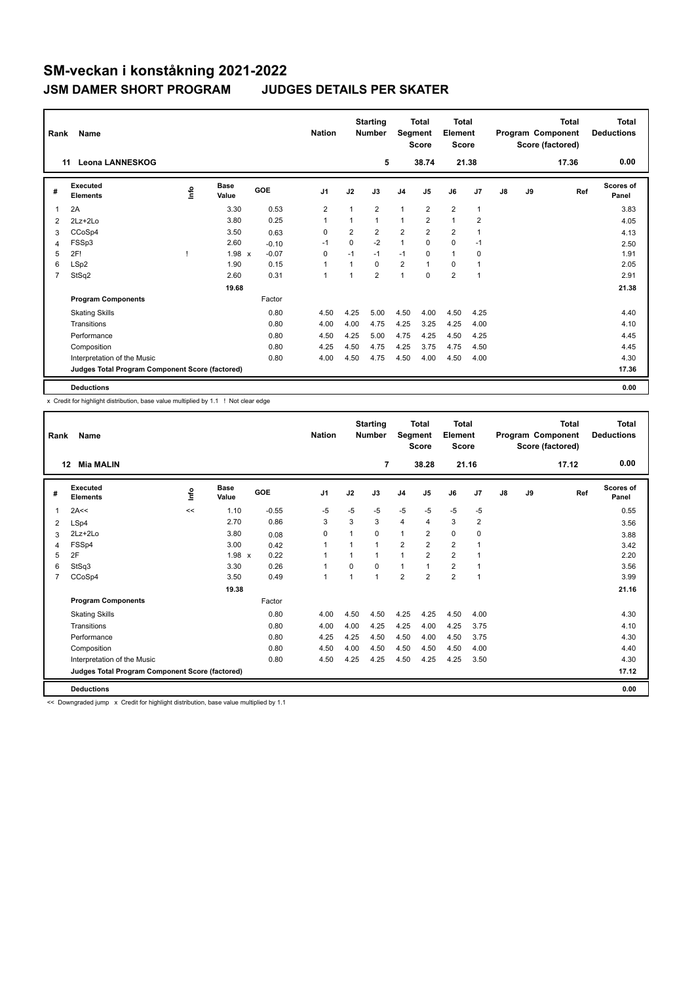| Rank | Name                                            |    | <b>Nation</b>        |         | <b>Starting</b><br><b>Number</b> |                | Total<br>Segment<br><b>Score</b> | <b>Total</b><br>Element<br><b>Score</b> |                         |                |                | <b>Total</b><br>Program Component<br>Score (factored) | <b>Total</b><br><b>Deductions</b> |       |                           |
|------|-------------------------------------------------|----|----------------------|---------|----------------------------------|----------------|----------------------------------|-----------------------------------------|-------------------------|----------------|----------------|-------------------------------------------------------|-----------------------------------|-------|---------------------------|
|      | <b>Leona LANNESKOG</b><br>11                    |    |                      |         |                                  |                | 5                                |                                         | 38.74                   |                | 21.38          |                                                       |                                   | 17.36 | 0.00                      |
| #    | <b>Executed</b><br><b>Elements</b>              | ۴ô | <b>Base</b><br>Value | GOE     | J <sub>1</sub>                   | J2             | J3                               | J <sub>4</sub>                          | J <sub>5</sub>          | J6             | J7             | $\mathsf{J}8$                                         | J9                                | Ref   | <b>Scores of</b><br>Panel |
|      | 2A                                              |    | 3.30                 | 0.53    | $\overline{2}$                   | 1              | $\overline{2}$                   | $\mathbf{1}$                            | $\overline{2}$          | $\overline{2}$ | $\overline{1}$ |                                                       |                                   |       | 3.83                      |
| 2    | $2Lz+2Lo$                                       |    | 3.80                 | 0.25    | 1                                | 1              | $\mathbf{1}$                     | 1                                       | $\overline{\mathbf{c}}$ | 1              | $\overline{2}$ |                                                       |                                   |       | 4.05                      |
| 3    | CCoSp4                                          |    | 3.50                 | 0.63    | $\Omega$                         | $\overline{2}$ | $\overline{2}$                   | $\overline{2}$                          | $\overline{2}$          | $\overline{2}$ | 1              |                                                       |                                   |       | 4.13                      |
| 4    | FSSp3                                           |    | 2.60                 | $-0.10$ | $-1$                             | 0              | $-2$                             | $\mathbf{1}$                            | 0                       | $\mathbf 0$    | $-1$           |                                                       |                                   |       | 2.50                      |
| 5    | 2F!                                             |    | $1.98 \times$        | $-0.07$ | $\Omega$                         | $-1$           | $-1$                             | $-1$                                    | $\Omega$                | $\mathbf{1}$   | $\Omega$       |                                                       |                                   |       | 1.91                      |
| 6    | LSp <sub>2</sub>                                |    | 1.90                 | 0.15    | 1                                | 1              | $\Omega$                         | $\overline{2}$                          | $\overline{1}$          | $\Omega$       | 1              |                                                       |                                   |       | 2.05                      |
| 7    | StSq2                                           |    | 2.60                 | 0.31    | 1                                | 1              | $\overline{2}$                   | 1                                       | $\mathbf 0$             | $\overline{2}$ | $\overline{1}$ |                                                       |                                   |       | 2.91                      |
|      |                                                 |    | 19.68                |         |                                  |                |                                  |                                         |                         |                |                |                                                       |                                   |       | 21.38                     |
|      | <b>Program Components</b>                       |    |                      | Factor  |                                  |                |                                  |                                         |                         |                |                |                                                       |                                   |       |                           |
|      | <b>Skating Skills</b>                           |    |                      | 0.80    | 4.50                             | 4.25           | 5.00                             | 4.50                                    | 4.00                    | 4.50           | 4.25           |                                                       |                                   |       | 4.40                      |
|      | Transitions                                     |    |                      | 0.80    | 4.00                             | 4.00           | 4.75                             | 4.25                                    | 3.25                    | 4.25           | 4.00           |                                                       |                                   |       | 4.10                      |
|      | Performance                                     |    |                      | 0.80    | 4.50                             | 4.25           | 5.00                             | 4.75                                    | 4.25                    | 4.50           | 4.25           |                                                       |                                   |       | 4.45                      |
|      | Composition                                     |    |                      | 0.80    | 4.25                             | 4.50           | 4.75                             | 4.25                                    | 3.75                    | 4.75           | 4.50           |                                                       |                                   |       | 4.45                      |
|      | Interpretation of the Music                     |    |                      | 0.80    | 4.00                             | 4.50           | 4.75                             | 4.50                                    | 4.00                    | 4.50           | 4.00           |                                                       |                                   |       | 4.30                      |
|      | Judges Total Program Component Score (factored) |    |                      |         |                                  |                |                                  |                                         |                         |                |                |                                                       |                                   |       | 17.36                     |
|      | <b>Deductions</b>                               |    |                      |         |                                  |                |                                  |                                         |                         |                |                |                                                       |                                   |       | 0.00                      |

x Credit for highlight distribution, base value multiplied by 1.1 ! Not clear edge

| Rank           | Name                                            |      |                      |         | <b>Nation</b>  |                | <b>Starting</b><br><b>Number</b> | Segment        | <b>Total</b><br><b>Score</b> | Total<br>Element<br><b>Score</b> |                |    |    | Total<br>Program Component<br>Score (factored) | <b>Total</b><br><b>Deductions</b> |
|----------------|-------------------------------------------------|------|----------------------|---------|----------------|----------------|----------------------------------|----------------|------------------------------|----------------------------------|----------------|----|----|------------------------------------------------|-----------------------------------|
|                | <b>Mia MALIN</b><br>12                          |      |                      |         |                |                | $\overline{7}$                   |                | 38.28                        | 21.16                            |                |    |    | 17.12                                          | 0.00                              |
| #              | Executed<br><b>Elements</b>                     | lnfo | <b>Base</b><br>Value | GOE     | J <sub>1</sub> | J2             | J3                               | J <sub>4</sub> | J <sub>5</sub>               | J6                               | J7             | J8 | J9 | Ref                                            | <b>Scores of</b><br>Panel         |
| 1              | 2A<<                                            | <<   | 1.10                 | $-0.55$ | $-5$           | $-5$           | $-5$                             | $-5$           | $-5$                         | $-5$                             | $-5$           |    |    |                                                | 0.55                              |
| 2              | LSp4                                            |      | 2.70                 | 0.86    | 3              | 3              | 3                                | 4              | 4                            | 3                                | 2              |    |    |                                                | 3.56                              |
| 3              | $2Lz + 2Lo$                                     |      | 3.80                 | 0.08    | $\mathbf 0$    |                | 0                                | $\mathbf{1}$   | 2                            | 0                                | $\mathbf 0$    |    |    |                                                | 3.88                              |
| 4              | FSSp4                                           |      | 3.00                 | 0.42    |                |                |                                  | $\overline{2}$ | $\overline{2}$               | $\overline{2}$                   | $\overline{1}$ |    |    |                                                | 3.42                              |
| 5              | 2F                                              |      | $1.98 \times$        | 0.22    | 1              |                | 1                                | 1              | $\overline{2}$               | $\overline{2}$                   | $\overline{1}$ |    |    |                                                | 2.20                              |
| 6              | StSq3                                           |      | 3.30                 | 0.26    | 1              | $\Omega$       | 0                                | $\mathbf{1}$   |                              | $\overline{2}$                   | $\overline{1}$ |    |    |                                                | 3.56                              |
| $\overline{7}$ | CCoSp4                                          |      | 3.50                 | 0.49    | 1              | $\overline{1}$ | 1                                | $\overline{2}$ | $\overline{2}$               | $\overline{2}$                   | $\mathbf{1}$   |    |    |                                                | 3.99                              |
|                |                                                 |      | 19.38                |         |                |                |                                  |                |                              |                                  |                |    |    |                                                | 21.16                             |
|                | <b>Program Components</b>                       |      |                      | Factor  |                |                |                                  |                |                              |                                  |                |    |    |                                                |                                   |
|                | <b>Skating Skills</b>                           |      |                      | 0.80    | 4.00           | 4.50           | 4.50                             | 4.25           | 4.25                         | 4.50                             | 4.00           |    |    |                                                | 4.30                              |
|                | Transitions                                     |      |                      | 0.80    | 4.00           | 4.00           | 4.25                             | 4.25           | 4.00                         | 4.25                             | 3.75           |    |    |                                                | 4.10                              |
|                | Performance                                     |      |                      | 0.80    | 4.25           | 4.25           | 4.50                             | 4.50           | 4.00                         | 4.50                             | 3.75           |    |    |                                                | 4.30                              |
|                | Composition                                     |      |                      | 0.80    | 4.50           | 4.00           | 4.50                             | 4.50           | 4.50                         | 4.50                             | 4.00           |    |    |                                                | 4.40                              |
|                | Interpretation of the Music                     |      |                      | 0.80    | 4.50           | 4.25           | 4.25                             | 4.50           | 4.25                         | 4.25                             | 3.50           |    |    |                                                | 4.30                              |
|                | Judges Total Program Component Score (factored) |      |                      |         |                |                |                                  |                |                              |                                  |                |    |    |                                                | 17.12                             |
|                | <b>Deductions</b>                               |      |                      |         |                |                |                                  |                |                              |                                  |                |    |    |                                                | 0.00                              |

<< Downgraded jump x Credit for highlight distribution, base value multiplied by 1.1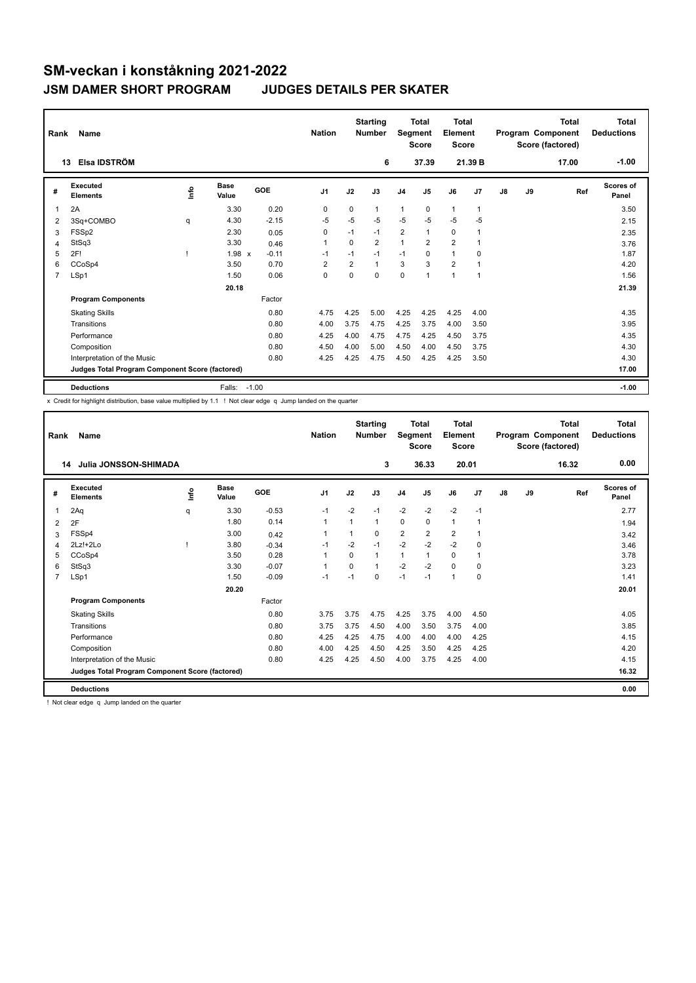| Rank | Name                                            |      |                      |         | <b>Nation</b>  |                | <b>Starting</b><br><b>Number</b> | Segment        | <b>Total</b><br><b>Score</b> | <b>Total</b><br>Element<br><b>Score</b> |                |    |    | <b>Total</b><br>Program Component<br>Score (factored) | Total<br><b>Deductions</b><br>$-1.00$ |
|------|-------------------------------------------------|------|----------------------|---------|----------------|----------------|----------------------------------|----------------|------------------------------|-----------------------------------------|----------------|----|----|-------------------------------------------------------|---------------------------------------|
|      | Elsa IDSTRÖM<br>13                              |      |                      |         |                |                | 6                                |                | 37.39                        |                                         | 21.39 B        |    |    | 17.00                                                 |                                       |
| #    | <b>Executed</b><br><b>Elements</b>              | ١nfo | <b>Base</b><br>Value | GOE     | J <sub>1</sub> | J2             | J3                               | J <sub>4</sub> | J5                           | J6                                      | J <sub>7</sub> | J8 | J9 | Ref                                                   | Scores of<br>Panel                    |
| 1    | 2A                                              |      | 3.30                 | 0.20    | 0              | 0              | 1                                | 1              | 0                            | $\mathbf{1}$                            | $\overline{1}$ |    |    |                                                       | 3.50                                  |
| 2    | 3Sq+COMBO                                       | q    | 4.30                 | $-2.15$ | $-5$           | $-5$           | $-5$                             | $-5$           | $-5$                         | $-5$                                    | $-5$           |    |    |                                                       | 2.15                                  |
| 3    | FSSp2                                           |      | 2.30                 | 0.05    | 0              | $-1$           | $-1$                             | 2              | 1                            | $\mathbf 0$                             | 1              |    |    |                                                       | 2.35                                  |
| 4    | StSq3                                           |      | 3.30                 | 0.46    | 1              | $\Omega$       | $\overline{2}$                   | 1              | $\overline{2}$               | $\overline{2}$                          | 1              |    |    |                                                       | 3.76                                  |
| 5    | 2F!                                             |      | 1.98 x               | $-0.11$ | $-1$           | $-1$           | $-1$                             | $-1$           | 0                            | $\mathbf{1}$                            | 0              |    |    |                                                       | 1.87                                  |
| 6    | CCoSp4                                          |      | 3.50                 | 0.70    | $\overline{2}$ | $\overline{2}$ | $\mathbf{1}$                     | 3              | 3                            | $\overline{2}$                          | $\overline{1}$ |    |    |                                                       | 4.20                                  |
| 7    | LSp1                                            |      | 1.50                 | 0.06    | 0              | 0              | $\mathbf 0$                      | 0              | $\overline{1}$               | $\mathbf{1}$                            | $\overline{1}$ |    |    |                                                       | 1.56                                  |
|      |                                                 |      | 20.18                |         |                |                |                                  |                |                              |                                         |                |    |    |                                                       | 21.39                                 |
|      | <b>Program Components</b>                       |      |                      | Factor  |                |                |                                  |                |                              |                                         |                |    |    |                                                       |                                       |
|      | <b>Skating Skills</b>                           |      |                      | 0.80    | 4.75           | 4.25           | 5.00                             | 4.25           | 4.25                         | 4.25                                    | 4.00           |    |    |                                                       | 4.35                                  |
|      | Transitions                                     |      |                      | 0.80    | 4.00           | 3.75           | 4.75                             | 4.25           | 3.75                         | 4.00                                    | 3.50           |    |    |                                                       | 3.95                                  |
|      | Performance                                     |      |                      | 0.80    | 4.25           | 4.00           | 4.75                             | 4.75           | 4.25                         | 4.50                                    | 3.75           |    |    |                                                       | 4.35                                  |
|      | Composition                                     |      |                      | 0.80    | 4.50           | 4.00           | 5.00                             | 4.50           | 4.00                         | 4.50                                    | 3.75           |    |    |                                                       | 4.30                                  |
|      | Interpretation of the Music                     |      |                      | 0.80    | 4.25           | 4.25           | 4.75                             | 4.50           | 4.25                         | 4.25                                    | 3.50           |    |    |                                                       | 4.30                                  |
|      | Judges Total Program Component Score (factored) |      |                      |         |                |                |                                  |                |                              |                                         |                |    |    |                                                       | 17.00                                 |
|      | <b>Deductions</b>                               |      | Falls:               | $-1.00$ |                |                |                                  |                |                              |                                         |                |    |    |                                                       | $-1.00$                               |

x Credit for highlight distribution, base value multiplied by 1.1 ! Not clear edge q Jump landed on the quarter

| Rank           | Name                                            |      |                      |            | <b>Nation</b>  |          | <b>Starting</b><br><b>Number</b> | Segment        | <b>Total</b><br><b>Score</b> | <b>Total</b><br>Element<br><b>Score</b> |                |               |    | <b>Total</b><br>Program Component<br>Score (factored) | <b>Total</b><br><b>Deductions</b> |
|----------------|-------------------------------------------------|------|----------------------|------------|----------------|----------|----------------------------------|----------------|------------------------------|-----------------------------------------|----------------|---------------|----|-------------------------------------------------------|-----------------------------------|
|                | Julia JONSSON-SHIMADA<br>14                     |      |                      |            |                |          | 3                                |                | 36.33                        | 20.01                                   |                |               |    | 16.32                                                 | 0.00                              |
| #              | Executed<br><b>Elements</b>                     | Info | <b>Base</b><br>Value | <b>GOE</b> | J <sub>1</sub> | J2       | J3                               | J <sub>4</sub> | J <sub>5</sub>               | J6                                      | J7             | $\mathsf{J}8$ | J9 | Ref                                                   | <b>Scores of</b><br>Panel         |
| 1              | 2Aq                                             | q    | 3.30                 | $-0.53$    | $-1$           | $-2$     | $-1$                             | $-2$           | $-2$                         | $-2$                                    | $-1$           |               |    |                                                       | 2.77                              |
| 2              | 2F                                              |      | 1.80                 | 0.14       | $\mathbf{1}$   | 1        | 1                                | 0              | 0                            | $\mathbf{1}$                            | $\overline{1}$ |               |    |                                                       | 1.94                              |
| 3              | FSSp4                                           |      | 3.00                 | 0.42       | $\mathbf{1}$   | 1        | 0                                | $\overline{2}$ | $\overline{2}$               | 2                                       | $\overline{1}$ |               |    |                                                       | 3.42                              |
| $\overline{4}$ | $2Lz!+2Lo$                                      |      | 3.80                 | $-0.34$    | $-1$           | $-2$     | $-1$                             | $-2$           | $-2$                         | $-2$                                    | 0              |               |    |                                                       | 3.46                              |
| 5              | CCoSp4                                          |      | 3.50                 | 0.28       | 1              | $\Omega$ | 1                                | $\mathbf{1}$   | 1                            | $\mathbf 0$                             | -1             |               |    |                                                       | 3.78                              |
| 6              | StSq3                                           |      | 3.30                 | $-0.07$    | $\mathbf{1}$   | $\Omega$ | $\mathbf{1}$                     | $-2$           | $-2$                         | $\Omega$                                | $\mathbf 0$    |               |    |                                                       | 3.23                              |
| 7              | LSp1                                            |      | 1.50                 | $-0.09$    | $-1$           | $-1$     | 0                                | $-1$           | $-1$                         | $\mathbf{1}$                            | $\mathbf 0$    |               |    |                                                       | 1.41                              |
|                |                                                 |      | 20.20                |            |                |          |                                  |                |                              |                                         |                |               |    |                                                       | 20.01                             |
|                | <b>Program Components</b>                       |      |                      | Factor     |                |          |                                  |                |                              |                                         |                |               |    |                                                       |                                   |
|                | <b>Skating Skills</b>                           |      |                      | 0.80       | 3.75           | 3.75     | 4.75                             | 4.25           | 3.75                         | 4.00                                    | 4.50           |               |    |                                                       | 4.05                              |
|                | Transitions                                     |      |                      | 0.80       | 3.75           | 3.75     | 4.50                             | 4.00           | 3.50                         | 3.75                                    | 4.00           |               |    |                                                       | 3.85                              |
|                | Performance                                     |      |                      | 0.80       | 4.25           | 4.25     | 4.75                             | 4.00           | 4.00                         | 4.00                                    | 4.25           |               |    |                                                       | 4.15                              |
|                | Composition                                     |      |                      | 0.80       | 4.00           | 4.25     | 4.50                             | 4.25           | 3.50                         | 4.25                                    | 4.25           |               |    |                                                       | 4.20                              |
|                | Interpretation of the Music                     |      |                      | 0.80       | 4.25           | 4.25     | 4.50                             | 4.00           | 3.75                         | 4.25                                    | 4.00           |               |    |                                                       | 4.15                              |
|                | Judges Total Program Component Score (factored) |      |                      |            |                |          |                                  |                |                              |                                         |                |               |    |                                                       | 16.32                             |
|                | <b>Deductions</b>                               |      |                      |            |                |          |                                  |                |                              |                                         |                |               |    |                                                       | 0.00                              |

! Not clear edge q Jump landed on the quarter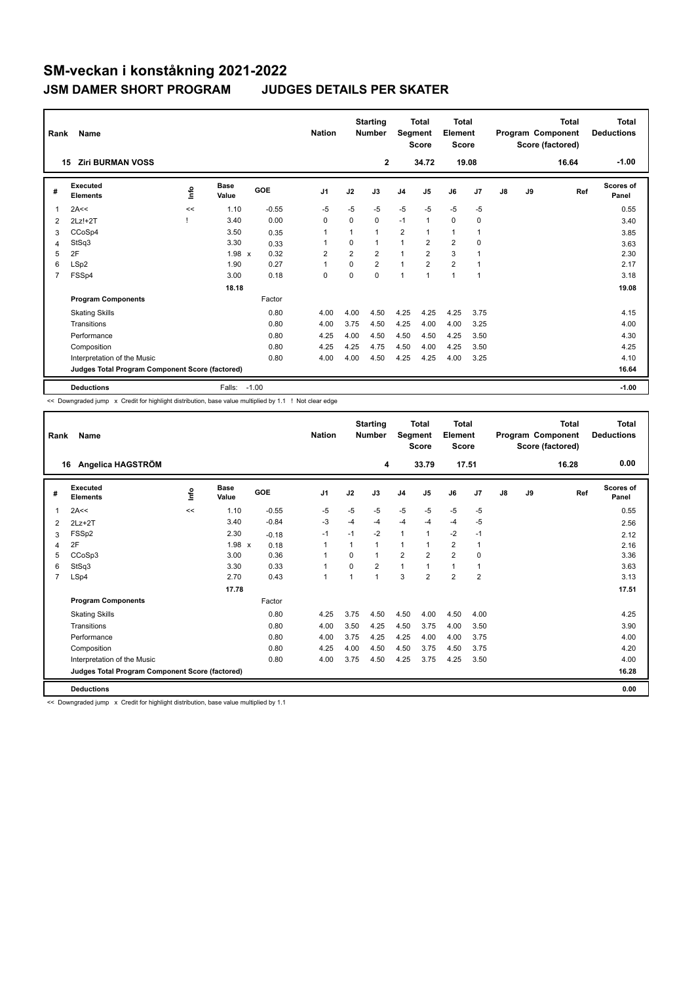| Rank | Name                                            |      |                      |            | <b>Nation</b>  |                | <b>Starting</b><br><b>Number</b> | Segment        | <b>Total</b><br><b>Score</b> | Total<br>Element<br><b>Score</b> |                |    |    | <b>Total</b><br>Program Component<br>Score (factored) | Total<br><b>Deductions</b> |
|------|-------------------------------------------------|------|----------------------|------------|----------------|----------------|----------------------------------|----------------|------------------------------|----------------------------------|----------------|----|----|-------------------------------------------------------|----------------------------|
|      | <b>Ziri BURMAN VOSS</b><br>15                   |      |                      |            |                |                | $\mathbf{2}$                     |                | 34.72                        |                                  | 19.08          |    |    | 16.64                                                 | $-1.00$                    |
| #    | Executed<br><b>Elements</b>                     | lnfo | <b>Base</b><br>Value | <b>GOE</b> | J <sub>1</sub> | J2             | J3                               | J <sub>4</sub> | J5                           | J6                               | J <sub>7</sub> | J8 | J9 | Ref                                                   | Scores of<br>Panel         |
| 1    | 2A<<                                            | <<   | 1.10                 | $-0.55$    | $-5$           | $-5$           | $-5$                             | $-5$           | $-5$                         | $-5$                             | $-5$           |    |    |                                                       | 0.55                       |
| 2    | $2Lz!+2T$                                       |      | 3.40                 | 0.00       | $\Omega$       | $\Omega$       | $\Omega$                         | $-1$           | $\mathbf{1}$                 | $\Omega$                         | 0              |    |    |                                                       | 3.40                       |
| 3    | CCoSp4                                          |      | 3.50                 | 0.35       | 1              | 1              | $\overline{1}$                   | $\overline{2}$ |                              | $\mathbf{1}$                     | 1              |    |    |                                                       | 3.85                       |
| 4    | StSq3                                           |      | 3.30                 | 0.33       |                | $\mathbf 0$    | 1                                | 1              | $\overline{2}$               | $\overline{2}$                   | 0              |    |    |                                                       | 3.63                       |
| 5    | 2F                                              |      | 1.98 x               | 0.32       | $\overline{2}$ | $\overline{2}$ | $\overline{2}$                   | $\mathbf{1}$   | $\overline{2}$               | 3                                | $\overline{1}$ |    |    |                                                       | 2.30                       |
| 6    | LSp2                                            |      | 1.90                 | 0.27       | 1              | $\Omega$       | $\overline{2}$                   | $\mathbf{1}$   | $\overline{2}$               | $\overline{2}$                   | $\overline{1}$ |    |    |                                                       | 2.17                       |
| 7    | FSSp4                                           |      | 3.00                 | 0.18       | 0              | $\mathbf 0$    | $\mathbf 0$                      | 1              |                              | $\mathbf{1}$                     | $\overline{1}$ |    |    |                                                       | 3.18                       |
|      |                                                 |      | 18.18                |            |                |                |                                  |                |                              |                                  |                |    |    |                                                       | 19.08                      |
|      | <b>Program Components</b>                       |      |                      | Factor     |                |                |                                  |                |                              |                                  |                |    |    |                                                       |                            |
|      | <b>Skating Skills</b>                           |      |                      | 0.80       | 4.00           | 4.00           | 4.50                             | 4.25           | 4.25                         | 4.25                             | 3.75           |    |    |                                                       | 4.15                       |
|      | Transitions                                     |      |                      | 0.80       | 4.00           | 3.75           | 4.50                             | 4.25           | 4.00                         | 4.00                             | 3.25           |    |    |                                                       | 4.00                       |
|      | Performance                                     |      |                      | 0.80       | 4.25           | 4.00           | 4.50                             | 4.50           | 4.50                         | 4.25                             | 3.50           |    |    |                                                       | 4.30                       |
|      | Composition                                     |      |                      | 0.80       | 4.25           | 4.25           | 4.75                             | 4.50           | 4.00                         | 4.25                             | 3.50           |    |    |                                                       | 4.25                       |
|      | Interpretation of the Music                     |      |                      | 0.80       | 4.00           | 4.00           | 4.50                             | 4.25           | 4.25                         | 4.00                             | 3.25           |    |    |                                                       | 4.10                       |
|      | Judges Total Program Component Score (factored) |      |                      |            |                |                |                                  |                |                              |                                  |                |    |    |                                                       | 16.64                      |
|      | <b>Deductions</b>                               |      | Falls:               | $-1.00$    |                |                |                                  |                |                              |                                  |                |    |    |                                                       | $-1.00$                    |

<< Downgraded jump x Credit for highlight distribution, base value multiplied by 1.1 ! Not clear edge

| Rank | Name                                            |      |                      |         | <b>Nation</b>  |          | <b>Starting</b><br><b>Number</b> | Segment        | Total<br><b>Score</b> | Total<br>Element<br><b>Score</b> |                |    |    | Total<br>Program Component<br>Score (factored) | <b>Total</b><br><b>Deductions</b> |
|------|-------------------------------------------------|------|----------------------|---------|----------------|----------|----------------------------------|----------------|-----------------------|----------------------------------|----------------|----|----|------------------------------------------------|-----------------------------------|
|      | Angelica HAGSTRÖM<br>16                         |      |                      |         |                |          | 4                                |                | 33.79                 |                                  | 17.51          |    |    | 16.28                                          | 0.00                              |
| #    | Executed<br><b>Elements</b>                     | ١nf٥ | <b>Base</b><br>Value | GOE     | J <sub>1</sub> | J2       | J3                               | J <sub>4</sub> | J <sub>5</sub>        | J6                               | J7             | J8 | J9 | Ref                                            | <b>Scores of</b><br>Panel         |
|      | 2A<<                                            | <<   | 1.10                 | $-0.55$ | $-5$           | $-5$     | $-5$                             | $-5$           | $-5$                  | $-5$                             | $-5$           |    |    |                                                | 0.55                              |
| 2    | $2Lz+2T$                                        |      | 3.40                 | $-0.84$ | $-3$           | $-4$     | $-4$                             | $-4$           | $-4$                  | $-4$                             | $-5$           |    |    |                                                | 2.56                              |
| 3    | FSSp2                                           |      | 2.30                 | $-0.18$ | $-1$           | $-1$     | $-2$                             | $\mathbf{1}$   | 1                     | $-2$                             | $-1$           |    |    |                                                | 2.12                              |
| 4    | 2F                                              |      | 1.98 x               | 0.18    | $\mathbf{1}$   | 1        | 1                                | $\mathbf{1}$   |                       | $\overline{2}$                   | 1              |    |    |                                                | 2.16                              |
| 5    | CCoSp3                                          |      | 3.00                 | 0.36    | 1              | $\Omega$ | 1                                | $\overline{2}$ | 2                     | $\overline{2}$                   | 0              |    |    |                                                | 3.36                              |
| 6    | StSq3                                           |      | 3.30                 | 0.33    | $\mathbf{1}$   | $\Omega$ | $\overline{2}$                   | $\overline{1}$ | 1                     | 1                                |                |    |    |                                                | 3.63                              |
| 7    | LSp4                                            |      | 2.70                 | 0.43    | $\mathbf{1}$   | 1        | $\overline{1}$                   | 3              | $\overline{2}$        | $\overline{2}$                   | $\overline{2}$ |    |    |                                                | 3.13                              |
|      |                                                 |      | 17.78                |         |                |          |                                  |                |                       |                                  |                |    |    |                                                | 17.51                             |
|      | <b>Program Components</b>                       |      |                      | Factor  |                |          |                                  |                |                       |                                  |                |    |    |                                                |                                   |
|      | <b>Skating Skills</b>                           |      |                      | 0.80    | 4.25           | 3.75     | 4.50                             | 4.50           | 4.00                  | 4.50                             | 4.00           |    |    |                                                | 4.25                              |
|      | Transitions                                     |      |                      | 0.80    | 4.00           | 3.50     | 4.25                             | 4.50           | 3.75                  | 4.00                             | 3.50           |    |    |                                                | 3.90                              |
|      | Performance                                     |      |                      | 0.80    | 4.00           | 3.75     | 4.25                             | 4.25           | 4.00                  | 4.00                             | 3.75           |    |    |                                                | 4.00                              |
|      | Composition                                     |      |                      | 0.80    | 4.25           | 4.00     | 4.50                             | 4.50           | 3.75                  | 4.50                             | 3.75           |    |    |                                                | 4.20                              |
|      | Interpretation of the Music                     |      |                      | 0.80    | 4.00           | 3.75     | 4.50                             | 4.25           | 3.75                  | 4.25                             | 3.50           |    |    |                                                | 4.00                              |
|      | Judges Total Program Component Score (factored) |      |                      |         |                |          |                                  |                |                       |                                  |                |    |    |                                                | 16.28                             |
|      | <b>Deductions</b>                               |      |                      |         |                |          |                                  |                |                       |                                  |                |    |    |                                                | 0.00                              |

<< Downgraded jump x Credit for highlight distribution, base value multiplied by 1.1